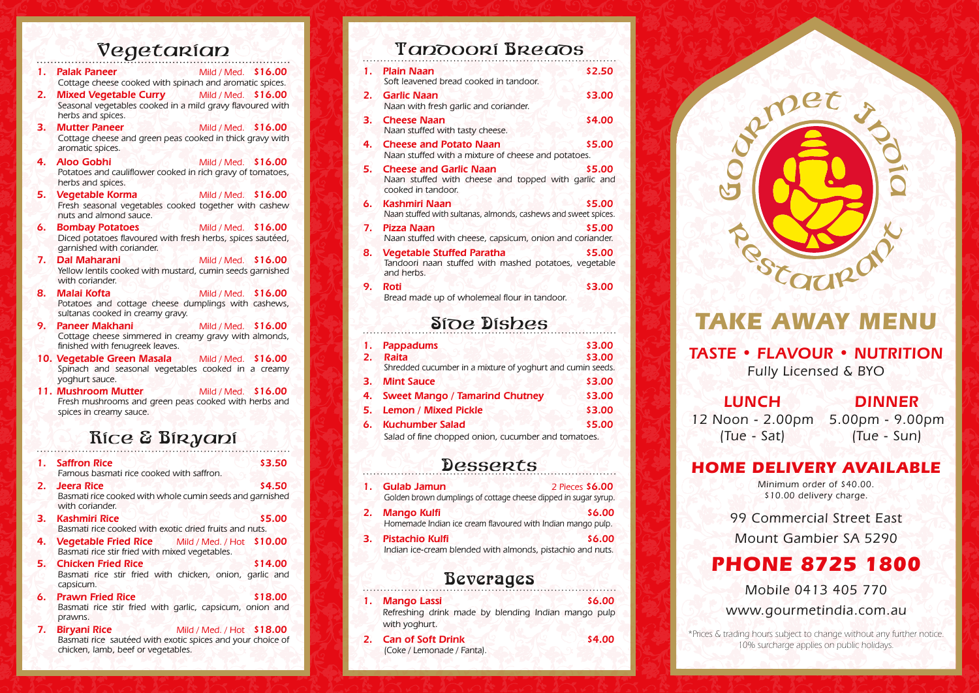## Vegetarian

|     | 1. Palak Paneer Mild / Med. \$16.00<br>Cottage cheese cooked with spinach and aromatic spices.                              |                            |  |
|-----|-----------------------------------------------------------------------------------------------------------------------------|----------------------------|--|
| 2.7 | Mixed Vegetable Curry Mild / Med. \$16.00<br>Seasonal vegetables cooked in a mild gravy flavoured with<br>herbs and spices. |                            |  |
| З.  | <b>Mutter Paneer</b><br>Cottage cheese and green peas cooked in thick gravy with<br>aromatic spices.                        | Mild / Med. \$16.00        |  |
| 4.  | <b>Aloo Gobhi</b><br>Potatoes and cauliflower cooked in rich gravy of tomatoes,<br>herbs and spices.                        | Mild / Med. \$16.00        |  |
| 5.  | <b>Vegetable Korma</b><br>Fresh seasonal vegetables cooked together with cashew<br>nuts and almond sauce.                   | Mild / Med. \$16.00        |  |
| 6.  | <b>Bombay Potatoes</b><br>Diced potatoes flavoured with fresh herbs, spices sautéed,<br>garnished with coriander.           | <b>Mild / Med. \$16.00</b> |  |
| 7.  | Dal Maharani<br>ハンツ<br>Yellow lentils cooked with mustard, cumin seeds garnished<br>with coriander.                         | <b>Mild / Med. \$16.00</b> |  |
| 8.  | Malai Kofta<br>Potatoes and cottage cheese dumplings with cashews,<br>sultanas cooked in creamy gravy.                      | Mild / Med. \$16.00        |  |
| 9.  | <b>Paneer Makhani</b><br>Cottage cheese simmered in creamy gravy with almonds,<br>finished with fenugreek leaves.           | Mild / Med. \$16.00        |  |
|     | 10. Vegetable Green Masala Mild / Med. \$16.00<br>Spinach and seasonal vegetables cooked in a creamy<br>yoghurt sauce.      |                            |  |
|     | 11. Mushroom Mutter<br>Fresh mushrooms and green peas cooked with herbs and<br>spices in creamy sauce.                      | Mild / Med. \$16.00        |  |
|     | ິ<br>$\mathbf{C}$<br>D.                                                                                                     |                            |  |

### RICE & BIRYANI

|    | 1. Saffron Rice<br>\$3.50                                                                                                                            |
|----|------------------------------------------------------------------------------------------------------------------------------------------------------|
|    | Famous basmati rice cooked with saffron.                                                                                                             |
| 2. | \$4.50<br>Jeera Rice                                                                                                                                 |
|    | Basmati rice cooked with whole cumin seeds and garnished<br>with coriander.                                                                          |
|    | \$5.00<br>3. Kashmiri Rice                                                                                                                           |
|    | Basmati rice cooked with exotic dried fruits and nuts.                                                                                               |
| 4. | <b>Vegetable Fried Rice</b> Mild / Med. / Hot \$10.00<br>Basmati rice stir fried with mixed vegetables.                                              |
|    | \$14.00<br>5. Chicken Fried Rice                                                                                                                     |
|    | Basmati rice stir fried with chicken, onion, garlic and<br>capsicum.                                                                                 |
|    | \$18.00<br>6. Prawn Fried Rice                                                                                                                       |
|    | Basmati rice stir fried with garlic, capsicum, onion and<br>prawns.                                                                                  |
| 7. | Mild / Med. / Hot \$18.00<br><b>Biryani Rice</b><br>Basmati rice sautéed with exotic spices and your choice of<br>chicken, lamb, beef or vegetables. |

## Tandoori BREADS

|    | 1. Plain Naan<br>Soft leavened bread cooked in tandoor.                                                    | \$2.50 |
|----|------------------------------------------------------------------------------------------------------------|--------|
| 2. | <b>Garlic Naan</b><br>Naan with fresh garlic and coriander.                                                | \$3.00 |
| з. | <b>Cheese Naan</b><br>Naan stuffed with tasty cheese.                                                      | \$4.00 |
| 4. | <b>Cheese and Potato Naan</b><br>Naan stuffed with a mixture of cheese and potatoes.                       | \$5.00 |
| 5. | <b>Cheese and Garlic Naan</b><br>Naan stuffed with cheese and topped with garlic and<br>cooked in tandoor. | \$5.00 |
|    | Kashmiri Naan<br>Naan stuffed with sultanas, almonds, cashews and sweet spices.                            | \$5.00 |
| 7. | <b>Pizza Naan</b><br>Naan stuffed with cheese, capsicum, onion and coriander.                              | \$5.00 |
| 8. | <b>Vegetable Stuffed Paratha</b><br>Tandoori naan stuffed with mashed potatoes, vegetable<br>and herbs.    | \$5.00 |
| 9. | Roti<br>Bread made up of wholemeal flour in tandoor.                                                       | \$3.00 |

## SIDE DISHES

| 1.   | <b>Pappadums</b>                                           | \$3,00 |  |
|------|------------------------------------------------------------|--------|--|
| 2.   | <b>Raita</b>                                               | \$3.00 |  |
|      | Shredded cucumber in a mixture of yoghurt and cumin seeds. |        |  |
| 3.7  | <b>Mint Sauce</b>                                          | \$3.00 |  |
|      | 4. Sweet Mango / Tamarind Chutney                          | \$3.00 |  |
|      | 5. Lemon / Mixed Pickle                                    | \$3.00 |  |
| 6. . | <b>Kuchumber Salad</b>                                     | \$5.00 |  |
|      | Salad of fine chopped onion, cucumber and tomatoes.        |        |  |
|      |                                                            |        |  |

### **Desserts**

| 1. | <b>Gulab Jamun</b><br>Golden brown dumplings of cottage cheese dipped in sugar syrup. | 2 Pieces \$6.00 |
|----|---------------------------------------------------------------------------------------|-----------------|
| 2. | <b>Mango Kulfi</b><br>Homemade Indian ice cream flavoured with Indian mango pulp.     | \$6.00          |
| З. | <b>Pistachio Kulfi</b><br>Indian ice-cream blended with almonds, pistachio and nuts.  | \$6.00          |

### Beverages

| 1. | <b>Mango Lassi</b><br>Refreshing drink made by blending Indian mango pulp<br>with yoghurt. |  | \$6.00 |
|----|--------------------------------------------------------------------------------------------|--|--------|
| 2. | <b>Can of Soft Drink</b><br>(Coke / Lemonade / Fanta).                                     |  | \$4.00 |



# *TAKE AWAY MENU*

# *TASTE • FLAVOUR • NUTRITION*

*Fully Licensed & BYO*

### *LUNCH*

## *DINNER*

*12 Noon - 2.00pm 5.00pm - 9.00pm (Tue - Sat) (Tue - Sun)*

### *HOME DELIVERY AVAILABLE*

*Minimum order of \$40.00. \$10.00 delivery charge.*

*99 Commercial Street East Mount Gambier SA 5290*

# *PHONE 8725 1800*

*Mobile 0413 405 770*

*www.gourmetindia.com.au*

*\*Prices & trading hours subject to change without any further notice. 10% surcharge applies on public holidays.*